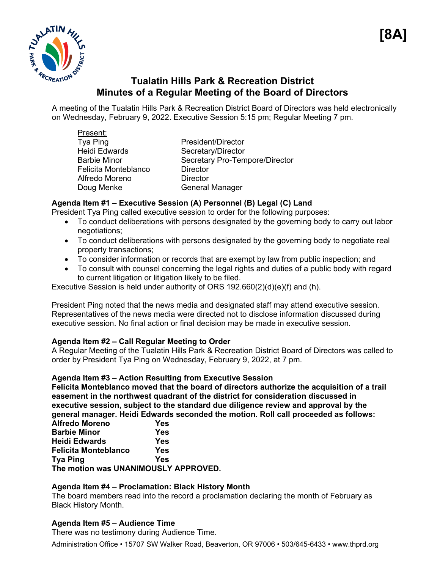

# **Tualatin Hills Park & Recreation District Minutes of a Regular Meeting of the Board of Directors**

A meeting of the Tualatin Hills Park & Recreation District Board of Directors was held electronically on Wednesday, February 9, 2022. Executive Session 5:15 pm; Regular Meeting 7 pm.

| Present:             |                                |
|----------------------|--------------------------------|
| Tya Ping             | President/Director             |
| <b>Heidi Edwards</b> | Secretary/Director             |
| <b>Barbie Minor</b>  | Secretary Pro-Tempore/Director |
| Felicita Monteblanco | <b>Director</b>                |
| Alfredo Moreno       | <b>Director</b>                |
| Doug Menke           | <b>General Manager</b>         |
|                      |                                |

# **Agenda Item #1 – Executive Session (A) Personnel (B) Legal (C) Land**

President Tya Ping called executive session to order for the following purposes:

- To conduct deliberations with persons designated by the governing body to carry out labor negotiations;
- To conduct deliberations with persons designated by the governing body to negotiate real property transactions;
- To consider information or records that are exempt by law from public inspection; and
- To consult with counsel concerning the legal rights and duties of a public body with regard to current litigation or litigation likely to be filed.

Executive Session is held under authority of ORS 192.660(2)(d)(e)(f) and (h).

President Ping noted that the news media and designated staff may attend executive session. Representatives of the news media were directed not to disclose information discussed during executive session. No final action or final decision may be made in executive session.

# **Agenda Item #2 – Call Regular Meeting to Order**

A Regular Meeting of the Tualatin Hills Park & Recreation District Board of Directors was called to order by President Tya Ping on Wednesday, February 9, 2022, at 7 pm.

# **Agenda Item #3 – Action Resulting from Executive Session**

**Felicita Monteblanco moved that the board of directors authorize the acquisition of a trail easement in the northwest quadrant of the district for consideration discussed in executive session, subject to the standard due diligence review and approval by the general manager. Heidi Edwards seconded the motion. Roll call proceeded as follows:** 

| <b>Alfredo Moreno</b>                | Yes |
|--------------------------------------|-----|
| <b>Barbie Minor</b>                  | Yes |
| <b>Heidi Edwards</b>                 | Yes |
| <b>Felicita Monteblanco</b>          | Yes |
| <b>Tya Ping</b>                      | Yes |
| The motion was UNANIMOUSLY APPROVED. |     |

# **Agenda Item #4 – Proclamation: Black History Month**

The board members read into the record a proclamation declaring the month of February as Black History Month.

# **Agenda Item #5 – Audience Time**

There was no testimony during Audience Time.

Administration Office • 15707 SW Walker Road, Beaverton, OR 97006 • 503/645-6433 • www.thprd.org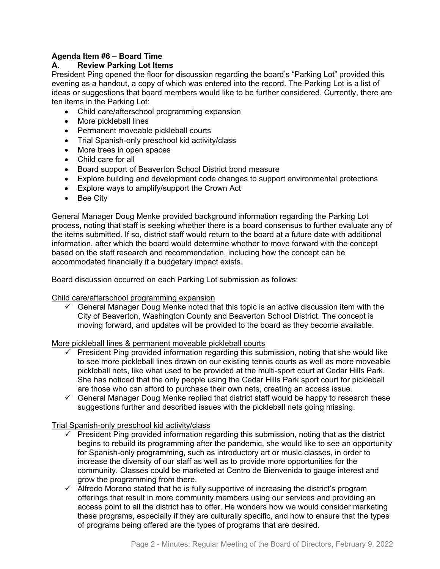## **Agenda Item #6 – Board Time**

## **A. Review Parking Lot Items**

President Ping opened the floor for discussion regarding the board's "Parking Lot" provided this evening as a handout, a copy of which was entered into the record. The Parking Lot is a list of ideas or suggestions that board members would like to be further considered. Currently, there are ten items in the Parking Lot:

- Child care/afterschool programming expansion
- More pickleball lines
- Permanent moveable pickleball courts
- Trial Spanish-only preschool kid activity/class
- More trees in open spaces
- Child care for all
- Board support of Beaverton School District bond measure
- Explore building and development code changes to support environmental protections
- Explore ways to amplify/support the Crown Act
- Bee City

General Manager Doug Menke provided background information regarding the Parking Lot process, noting that staff is seeking whether there is a board consensus to further evaluate any of the items submitted. If so, district staff would return to the board at a future date with additional information, after which the board would determine whether to move forward with the concept based on the staff research and recommendation, including how the concept can be accommodated financially if a budgetary impact exists.

Board discussion occurred on each Parking Lot submission as follows:

Child care/afterschool programming expansion

 $\checkmark$  General Manager Doug Menke noted that this topic is an active discussion item with the City of Beaverton, Washington County and Beaverton School District. The concept is moving forward, and updates will be provided to the board as they become available.

More pickleball lines & permanent moveable pickleball courts

- $\checkmark$  President Ping provided information regarding this submission, noting that she would like to see more pickleball lines drawn on our existing tennis courts as well as more moveable pickleball nets, like what used to be provided at the multi-sport court at Cedar Hills Park. She has noticed that the only people using the Cedar Hills Park sport court for pickleball are those who can afford to purchase their own nets, creating an access issue.
- $\checkmark$  General Manager Doug Menke replied that district staff would be happy to research these suggestions further and described issues with the pickleball nets going missing.

## Trial Spanish-only preschool kid activity/class

- $\checkmark$  President Ping provided information regarding this submission, noting that as the district begins to rebuild its programming after the pandemic, she would like to see an opportunity for Spanish-only programming, such as introductory art or music classes, in order to increase the diversity of our staff as well as to provide more opportunities for the community. Classes could be marketed at Centro de Bienvenida to gauge interest and grow the programming from there.
- $\checkmark$  Alfredo Moreno stated that he is fully supportive of increasing the district's program offerings that result in more community members using our services and providing an access point to all the district has to offer. He wonders how we would consider marketing these programs, especially if they are culturally specific, and how to ensure that the types of programs being offered are the types of programs that are desired.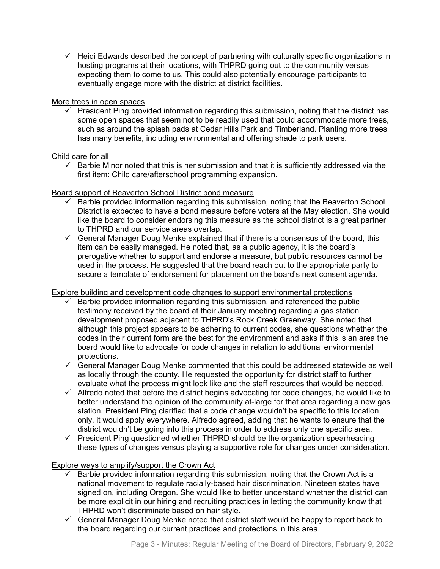$\checkmark$  Heidi Edwards described the concept of partnering with culturally specific organizations in hosting programs at their locations, with THPRD going out to the community versus expecting them to come to us. This could also potentially encourage participants to eventually engage more with the district at district facilities.

#### More trees in open spaces

 $\checkmark$  President Ping provided information regarding this submission, noting that the district has some open spaces that seem not to be readily used that could accommodate more trees, such as around the splash pads at Cedar Hills Park and Timberland. Planting more trees has many benefits, including environmental and offering shade to park users.

#### Child care for all

 $\checkmark$  Barbie Minor noted that this is her submission and that it is sufficiently addressed via the first item: Child care/afterschool programming expansion.

## Board support of Beaverton School District bond measure

- Barbie provided information regarding this submission, noting that the Beaverton School District is expected to have a bond measure before voters at the May election. She would like the board to consider endorsing this measure as the school district is a great partner to THPRD and our service areas overlap.
- $\checkmark$  General Manager Doug Menke explained that if there is a consensus of the board, this item can be easily managed. He noted that, as a public agency, it is the board's prerogative whether to support and endorse a measure, but public resources cannot be used in the process. He suggested that the board reach out to the appropriate party to secure a template of endorsement for placement on the board's next consent agenda.

## Explore building and development code changes to support environmental protections

- Barbie provided information regarding this submission, and referenced the public testimony received by the board at their January meeting regarding a gas station development proposed adjacent to THPRD's Rock Creek Greenway. She noted that although this project appears to be adhering to current codes, she questions whether the codes in their current form are the best for the environment and asks if this is an area the board would like to advocate for code changes in relation to additional environmental protections.
- $\checkmark$  General Manager Doug Menke commented that this could be addressed statewide as well as locally through the county. He requested the opportunity for district staff to further evaluate what the process might look like and the staff resources that would be needed.
- $\checkmark$  Alfredo noted that before the district begins advocating for code changes, he would like to better understand the opinion of the community at-large for that area regarding a new gas station. President Ping clarified that a code change wouldn't be specific to this location only, it would apply everywhere. Alfredo agreed, adding that he wants to ensure that the district wouldn't be going into this process in order to address only one specific area.
- $\checkmark$  President Ping questioned whether THPRD should be the organization spearheading these types of changes versus playing a supportive role for changes under consideration.

## Explore ways to amplify/support the Crown Act

- Barbie provided information regarding this submission, noting that the Crown Act is a national movement to regulate racially-based hair discrimination. Nineteen states have signed on, including Oregon. She would like to better understand whether the district can be more explicit in our hiring and recruiting practices in letting the community know that THPRD won't discriminate based on hair style.
- $\checkmark$  General Manager Doug Menke noted that district staff would be happy to report back to the board regarding our current practices and protections in this area.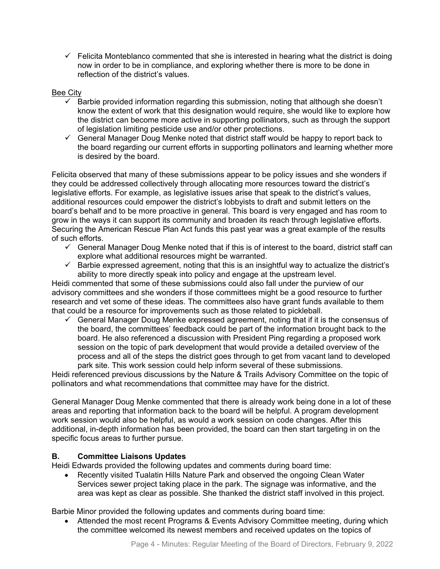$\checkmark$  Felicita Monteblanco commented that she is interested in hearing what the district is doing now in order to be in compliance, and exploring whether there is more to be done in reflection of the district's values.

## Bee City

- $\checkmark$  Barbie provided information regarding this submission, noting that although she doesn't know the extent of work that this designation would require, she would like to explore how the district can become more active in supporting pollinators, such as through the support of legislation limiting pesticide use and/or other protections.
- $\checkmark$  General Manager Doug Menke noted that district staff would be happy to report back to the board regarding our current efforts in supporting pollinators and learning whether more is desired by the board.

Felicita observed that many of these submissions appear to be policy issues and she wonders if they could be addressed collectively through allocating more resources toward the district's legislative efforts. For example, as legislative issues arise that speak to the district's values, additional resources could empower the district's lobbyists to draft and submit letters on the board's behalf and to be more proactive in general. This board is very engaged and has room to grow in the ways it can support its community and broaden its reach through legislative efforts. Securing the American Rescue Plan Act funds this past year was a great example of the results of such efforts.

- $\checkmark$  General Manager Doug Menke noted that if this is of interest to the board, district staff can explore what additional resources might be warranted.
- $\checkmark$  Barbie expressed agreement, noting that this is an insightful way to actualize the district's ability to more directly speak into policy and engage at the upstream level.

Heidi commented that some of these submissions could also fall under the purview of our advisory committees and she wonders if those committees might be a good resource to further research and vet some of these ideas. The committees also have grant funds available to them that could be a resource for improvements such as those related to pickleball.

 $\checkmark$  General Manager Doug Menke expressed agreement, noting that if it is the consensus of the board, the committees' feedback could be part of the information brought back to the board. He also referenced a discussion with President Ping regarding a proposed work session on the topic of park development that would provide a detailed overview of the process and all of the steps the district goes through to get from vacant land to developed park site. This work session could help inform several of these submissions.

Heidi referenced previous discussions by the Nature & Trails Advisory Committee on the topic of pollinators and what recommendations that committee may have for the district.

General Manager Doug Menke commented that there is already work being done in a lot of these areas and reporting that information back to the board will be helpful. A program development work session would also be helpful, as would a work session on code changes. After this additional, in-depth information has been provided, the board can then start targeting in on the specific focus areas to further pursue.

## **B. Committee Liaisons Updates**

Heidi Edwards provided the following updates and comments during board time:

• Recently visited Tualatin Hills Nature Park and observed the ongoing Clean Water Services sewer project taking place in the park. The signage was informative, and the area was kept as clear as possible. She thanked the district staff involved in this project.

Barbie Minor provided the following updates and comments during board time:

• Attended the most recent Programs & Events Advisory Committee meeting, during which the committee welcomed its newest members and received updates on the topics of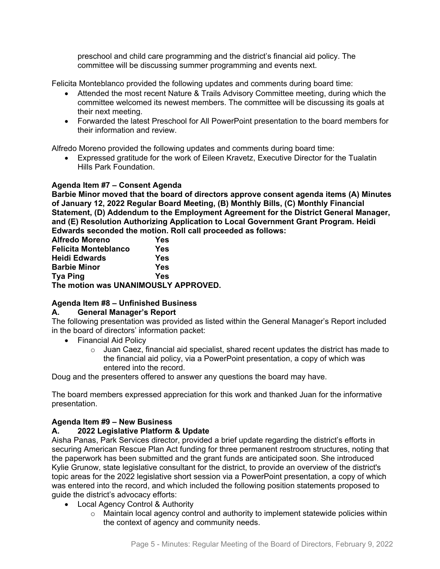preschool and child care programming and the district's financial aid policy. The committee will be discussing summer programming and events next.

Felicita Monteblanco provided the following updates and comments during board time:

- Attended the most recent Nature & Trails Advisory Committee meeting, during which the committee welcomed its newest members. The committee will be discussing its goals at their next meeting.
- Forwarded the latest Preschool for All PowerPoint presentation to the board members for their information and review.

Alfredo Moreno provided the following updates and comments during board time:

• Expressed gratitude for the work of Eileen Kravetz, Executive Director for the Tualatin Hills Park Foundation.

#### **Agenda Item #7 – Consent Agenda**

**Barbie Minor moved that the board of directors approve consent agenda items (A) Minutes of January 12, 2022 Regular Board Meeting, (B) Monthly Bills, (C) Monthly Financial Statement, (D) Addendum to the Employment Agreement for the District General Manager, and (E) Resolution Authorizing Application to Local Government Grant Program. Heidi Edwards seconded the motion. Roll call proceeded as follows:** 

| <b>Alfredo Moreno</b>                | Yes |
|--------------------------------------|-----|
| <b>Felicita Monteblanco</b>          | Yes |
| <b>Heidi Edwards</b>                 | Yes |
| <b>Barbie Minor</b>                  | Yes |
| <b>Tya Ping</b>                      | Yes |
| The motion was UNANIMOUSLY APPROVED. |     |

## **Agenda Item #8 – Unfinished Business**

## **A. General Manager's Report**

The following presentation was provided as listed within the General Manager's Report included in the board of directors' information packet:

- Financial Aid Policy
	- $\circ$  Juan Caez, financial aid specialist, shared recent updates the district has made to the financial aid policy, via a PowerPoint presentation, a copy of which was entered into the record.

Doug and the presenters offered to answer any questions the board may have.

The board members expressed appreciation for this work and thanked Juan for the informative presentation.

#### **Agenda Item #9 – New Business**

## **A. 2022 Legislative Platform & Update**

Aisha Panas, Park Services director, provided a brief update regarding the district's efforts in securing American Rescue Plan Act funding for three permanent restroom structures, noting that the paperwork has been submitted and the grant funds are anticipated soon. She introduced Kylie Grunow, state legislative consultant for the district, to provide an overview of the district's topic areas for the 2022 legislative short session via a PowerPoint presentation, a copy of which was entered into the record, and which included the following position statements proposed to guide the district's advocacy efforts:

- Local Agency Control & Authority
	- $\circ$  Maintain local agency control and authority to implement statewide policies within the context of agency and community needs.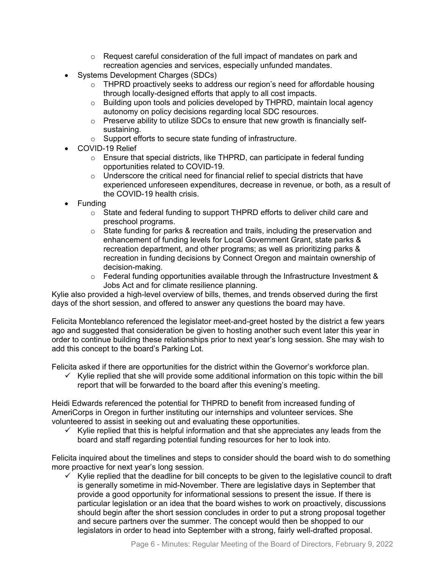- o Request careful consideration of the full impact of mandates on park and recreation agencies and services, especially unfunded mandates.
- Systems Development Charges (SDCs)
	- o THPRD proactively seeks to address our region's need for affordable housing through locally-designed efforts that apply to all cost impacts.
	- o Building upon tools and policies developed by THPRD, maintain local agency autonomy on policy decisions regarding local SDC resources.
	- o Preserve ability to utilize SDCs to ensure that new growth is financially selfsustaining.
	- o Support efforts to secure state funding of infrastructure.
- COVID-19 Relief
	- o Ensure that special districts, like THPRD, can participate in federal funding opportunities related to COVID-19.
	- $\circ$  Underscore the critical need for financial relief to special districts that have experienced unforeseen expenditures, decrease in revenue, or both, as a result of the COVID-19 health crisis.
- Funding
	- $\circ$  State and federal funding to support THPRD efforts to deliver child care and preschool programs.
	- $\circ$  State funding for parks & recreation and trails, including the preservation and enhancement of funding levels for Local Government Grant, state parks & recreation department, and other programs; as well as prioritizing parks & recreation in funding decisions by Connect Oregon and maintain ownership of decision-making.
	- o Federal funding opportunities available through the Infrastructure Investment & Jobs Act and for climate resilience planning.

Kylie also provided a high-level overview of bills, themes, and trends observed during the first days of the short session, and offered to answer any questions the board may have.

Felicita Monteblanco referenced the legislator meet-and-greet hosted by the district a few years ago and suggested that consideration be given to hosting another such event later this year in order to continue building these relationships prior to next year's long session. She may wish to add this concept to the board's Parking Lot.

Felicita asked if there are opportunities for the district within the Governor's workforce plan.

 $\checkmark$  Kylie replied that she will provide some additional information on this topic within the bill report that will be forwarded to the board after this evening's meeting.

Heidi Edwards referenced the potential for THPRD to benefit from increased funding of AmeriCorps in Oregon in further instituting our internships and volunteer services. She volunteered to assist in seeking out and evaluating these opportunities.

 $\checkmark$  Kylie replied that this is helpful information and that she appreciates any leads from the board and staff regarding potential funding resources for her to look into.

Felicita inquired about the timelines and steps to consider should the board wish to do something more proactive for next year's long session.

 $\checkmark$  Kylie replied that the deadline for bill concepts to be given to the legislative council to draft is generally sometime in mid-November. There are legislative days in September that provide a good opportunity for informational sessions to present the issue. If there is particular legislation or an idea that the board wishes to work on proactively, discussions should begin after the short session concludes in order to put a strong proposal together and secure partners over the summer. The concept would then be shopped to our legislators in order to head into September with a strong, fairly well-drafted proposal.